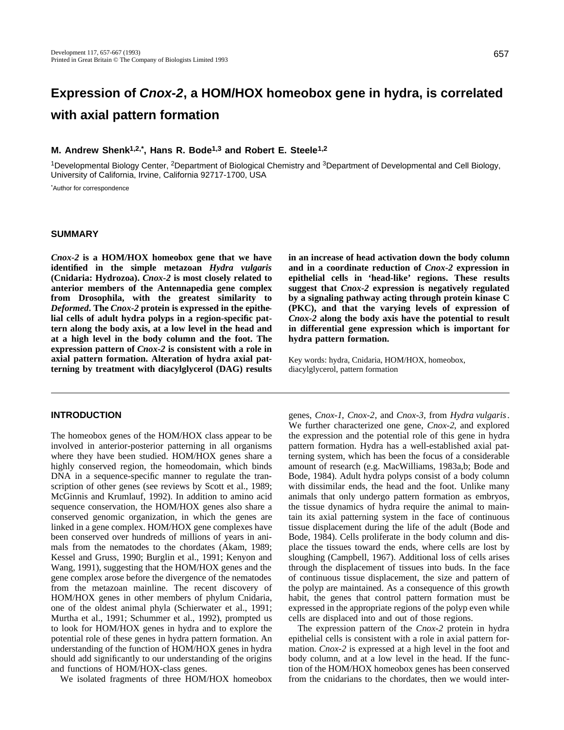# **Expression of Cnox-2, a HOM/HOX homeobox gene in hydra, is correlated with axial pattern formation**

# **M. Andrew Shenk1,2,\*, Hans R. Bode1,3 and Robert E. Steele1,2**

<sup>1</sup>Developmental Biology Center, 2Department of Biological Chemistry and 3Department of Developmental and Cell Biology, University of California, Irvine, California 92717-1700, USA

\*Author for correspondence

## **SUMMARY**

*Cnox-2* **is a HOM/HOX homeobox gene that we have identified in the simple metazoan** *Hydra vulgaris* **(Cnidaria: Hydrozoa).** *Cnox-2* **is most closely related to anterior members of the Antennapedia gene complex from Drosophila, with the greatest similarity to** *Deformed***. The** *Cnox-2* **protein is expressed in the epithelial cells of adult hydra polyps in a region-specific pattern along the body axis, at a low level in the head and at a high level in the body column and the foot. The expression pattern of** *Cnox-2* **is consistent with a role in axial pattern formation. Alteration of hydra axial patterning by treatment with diacylglycerol (DAG) results**

#### **INTRODUCTION**

The homeobox genes of the HOM/HOX class appear to be involved in anterior-posterior patterning in all organisms where they have been studied. HOM/HOX genes share a highly conserved region, the homeodomain, which binds DNA in a sequence-specific manner to regulate the transcription of other genes (see reviews by Scott et al., 1989; McGinnis and Krumlauf, 1992). In addition to amino acid sequence conservation, the HOM/HOX genes also share a conserved genomic organization, in which the genes are linked in a gene complex. HOM/HOX gene complexes have been conserved over hundreds of millions of years in animals from the nematodes to the chordates (Akam, 1989; Kessel and Gruss, 1990; Burglin et al., 1991; Kenyon and Wang, 1991), suggesting that the HOM/HOX genes and the gene complex arose before the divergence of the nematodes from the metazoan mainline. The recent discovery of HOM/HOX genes in other members of phylum Cnidaria, one of the oldest animal phyla (Schierwater et al., 1991; Murtha et al., 1991; Schummer et al., 1992), prompted us to look for HOM/HOX genes in hydra and to explore the potential role of these genes in hydra pattern formation. An understanding of the function of HOM/HOX genes in hydra should add significantly to our understanding of the origins and functions of HOM/HOX-class genes.

We isolated fragments of three HOM/HOX homeobox

**in an increase of head activation down the body column and in a coordinate reduction of** *Cnox-2* **expression in epithelial cells in 'head-like' regions. These results suggest that** *Cnox-2* **expression is negatively regulated by a signaling pathway acting through protein kinase C (PKC), and that the varying levels of expression of** *Cnox-2* **along the body axis have the potential to result in differential gene expression which is important for hydra pattern formation.**

Key words: hydra, Cnidaria, HOM/HOX, homeobox, diacylglycerol, pattern formation

genes, *Cnox-1*, *Cnox-2*, and *Cnox-3*, from *Hydra vulgaris*. We further characterized one gene, *Cnox-2*, and explored the expression and the potential role of this gene in hydra pattern formation. Hydra has a well-established axial patterning system, which has been the focus of a considerable amount of research (e.g. MacWilliams, 1983a,b; Bode and Bode, 1984). Adult hydra polyps consist of a body column with dissimilar ends, the head and the foot. Unlike many animals that only undergo pattern formation as embryos, the tissue dynamics of hydra require the animal to maintain its axial patterning system in the face of continuous tissue displacement during the life of the adult (Bode and Bode, 1984). Cells proliferate in the body column and displace the tissues toward the ends, where cells are lost by sloughing (Campbell, 1967). Additional loss of cells arises through the displacement of tissues into buds. In the face of continuous tissue displacement, the size and pattern of the polyp are maintained. As a consequence of this growth habit, the genes that control pattern formation must be expressed in the appropriate regions of the polyp even while cells are displaced into and out of those regions.

The expression pattern of the *Cnox-2* protein in hydra epithelial cells is consistent with a role in axial pattern formation. *Cnox-2* is expressed at a high level in the foot and body column, and at a low level in the head. If the function of the HOM/HOX homeobox genes has been conserved from the cnidarians to the chordates, then we would inter-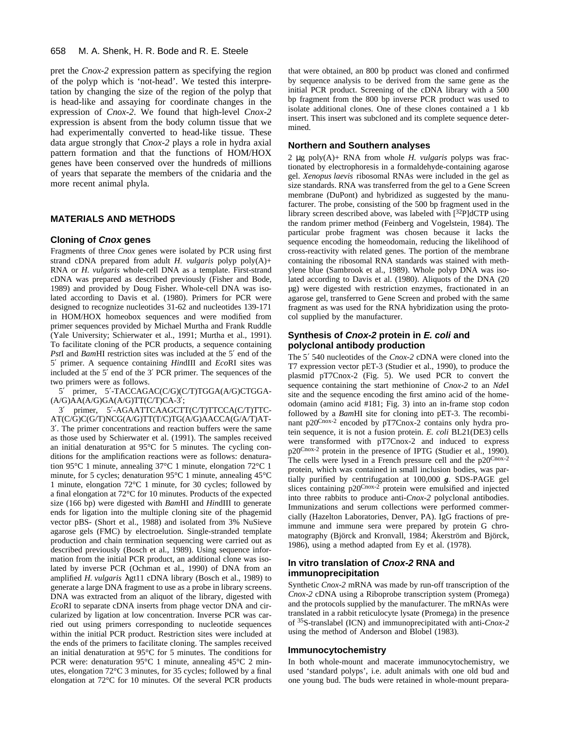#### 658 M. A. Shenk, H. R. Bode and R. E. Steele

pret the *Cnox-2* expression pattern as specifying the region of the polyp which is 'not-head'. We tested this interpretation by changing the size of the region of the polyp that is head-like and assaying for coordinate changes in the expression of *Cnox-2*. We found that high-level *Cnox-2* expression is absent from the body column tissue that we had experimentally converted to head-like tissue. These data argue strongly that *Cnox-2* plays a role in hydra axial pattern formation and that the functions of HOM/HOX genes have been conserved over the hundreds of millions of years that separate the members of the cnidaria and the more recent animal phyla.

## **MATERIALS AND METHODS**

#### **Cloning of Cnox genes**

Fragments of three *Cnox* genes were isolated by PCR using first strand cDNA prepared from adult *H. vulgaris* polyp poly(A)+ RNA or *H. vulgaris* whole-cell DNA as a template. First-strand cDNA was prepared as described previously (Fisher and Bode, 1989) and provided by Doug Fisher. Whole-cell DNA was isolated according to Davis et al. (1980). Primers for PCR were designed to recognize nucleotides 31-62 and nucleotides 139-171 in HOM/HOX homeobox sequences and were modified from primer sequences provided by Michael Murtha and Frank Ruddle (Yale University; Schierwater et al., 1991; Murtha et al., 1991). To facilitate cloning of the PCR products, a sequence containing *Pst*I and *Bam*HI restriction sites was included at the 5 end of the 5 primer. A sequence containing *Hin*dIII and *Eco*RI sites was included at the 5 end of the 3 PCR primer. The sequences of the two primers were as follows.

5 primer, 5 -TACCAGAC(C/G)(C/T)TGGA(A/G)CTGGA-  $(A/G)AA(A/G)GA(A/G)TT(C/T)CA-3;$ 

3 primer, 5 -AGAATTCAAGCTT(C/T)TTCCA(C/T)TTC-AT(C/G)C(G/T)NCG(A/G)TT(T/C)TG(A/G)AACCA(G/A/T)AT-3 . The primer concentrations and reaction buffers were the same as those used by Schierwater et al. (1991). The samples received an initial denaturation at 95°C for 5 minutes. The cycling conditions for the amplification reactions were as follows: denaturation 95°C 1 minute, annealing 37°C 1 minute, elongation 72°C 1 minute, for 5 cycles; denaturation 95°C 1 minute, annealing 45°C 1 minute, elongation 72°C 1 minute, for 30 cycles; followed by a final elongation at 72°C for 10 minutes. Products of the expected size (166 bp) were digested with *Bam*HI and *Hin*dIII to generate ends for ligation into the multiple cloning site of the phagemid vector pBS- (Short et al., 1988) and isolated from 3% NuSieve agarose gels (FMC) by electroelution. Single-stranded template production and chain termination sequencing were carried out as described previously (Bosch et al., 1989). Using sequence information from the initial PCR product, an additional clone was isolated by inverse PCR (Ochman et al., 1990) of DNA from an amplified *H. vulgaris* gt11 cDNA library (Bosch et al., 1989) to generate a large DNA fragment to use as a probe in library screens. DNA was extracted from an aliquot of the library, digested with *Eco*RI to separate cDNA inserts from phage vector DNA and circularized by ligation at low concentration. Inverse PCR was carried out using primers corresponding to nucleotide sequences within the initial PCR product. Restriction sites were included at the ends of the primers to facilitate cloning. The samples received an initial denaturation at 95°C for 5 minutes. The conditions for PCR were: denaturation 95°C 1 minute, annealing 45°C 2 minutes, elongation 72°C 3 minutes, for 35 cycles; followed by a final elongation at 72°C for 10 minutes. Of the several PCR products that were obtained, an 800 bp product was cloned and confirmed by sequence analysis to be derived from the same gene as the initial PCR product. Screening of the cDNA library with a 500 bp fragment from the 800 bp inverse PCR product was used to isolate additional clones. One of these clones contained a 1 kb insert. This insert was subcloned and its complete sequence determined.

#### **Northern and Southern analyses**

2 μg poly(A)+ RNA from whole *H. vulgaris* polyps was fractionated by electrophoresis in a formaldehyde-containing agarose gel. *Xenopus laevis* ribosomal RNAs were included in the gel as size standards. RNA was transferred from the gel to a Gene Screen membrane (DuPont) and hybridized as suggested by the manufacturer. The probe, consisting of the 500 bp fragment used in the library screen described above, was labeled with [32P]dCTP using the random primer method (Feinberg and Vogelstein, 1984). The particular probe fragment was chosen because it lacks the sequence encoding the homeodomain, reducing the likelihood of cross-reactivity with related genes. The portion of the membrane containing the ribosomal RNA standards was stained with methylene blue (Sambrook et al., 1989). Whole polyp DNA was isolated according to Davis et al. (1980). Aliquots of the DNA (20 µg) were digested with restriction enzymes, fractionated in an agarose gel, transferred to Gene Screen and probed with the same fragment as was used for the RNA hybridization using the protocol supplied by the manufacturer.

#### **Synthesis of Cnox-2 protein in E. coli and polyclonal antibody production**

The 5 540 nucleotides of the *Cnox-2* cDNA were cloned into the T7 expression vector pET-3 (Studier et al., 1990), to produce the plasmid pT7Cnox-2 (Fig. 5). We used PCR to convert the sequence containing the start methionine of *Cnox-2* to an *Nde*I site and the sequence encoding the first amino acid of the homeodomain (amino acid #181; Fig. 3) into an in-frame stop codon followed by a *Bam*HI site for cloning into pET-3. The recombinant p20Cnox-2 encoded by pT7Cnox-2 contains only hydra protein sequence, it is not a fusion protein. *E. coli* BL21(DE3) cells were transformed with pT7Cnox-2 and induced to express p20Cnox-2 protein in the presence of IPTG (Studier et al., 1990). The cells were lysed in a French pressure cell and the p20Cnox-2 protein, which was contained in small inclusion bodies, was partially purified by centrifugation at 100,000 *g*. SDS-PAGE gel slices containing  $p20^{\text{Cnox-2}}$  protein were emulsified and injected into three rabbits to produce anti-*Cnox-2* polyclonal antibodies. Immunizations and serum collections were performed commercially (Hazelton Laboratories, Denver, PA). IgG fractions of preimmune and immune sera were prepared by protein G chromatography (Björck and Kronvall, 1984; Åkerström and Björck, 1986), using a method adapted from Ey et al. (1978).

# **In vitro translation of Cnox-2 RNA and immunoprecipitation**

Synthetic *Cnox-2* mRNA was made by run-off transcription of the *Cnox-2* cDNA using a Riboprobe transcription system (Promega) and the protocols supplied by the manufacturer. The mRNAs were translated in a rabbit reticulocyte lysate (Promega) in the presence of 35S-translabel (ICN) and immunoprecipitated with anti-*Cnox-2* using the method of Anderson and Blobel (1983).

#### **Immunocytochemistry**

In both whole-mount and macerate immunocytochemistry, we used 'standard polyps', i.e. adult animals with one old bud and one young bud. The buds were retained in whole-mount prepara-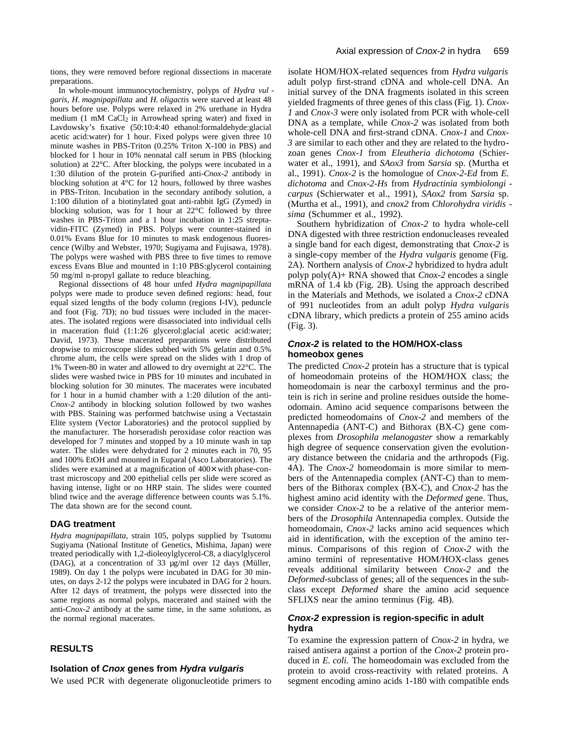In whole-mount immunocytochemistry, polyps of *Hydra vul garis*, *H. magnipapillata* and *H. oligactis* were starved at least 48 hours before use. Polyps were relaxed in 2% urethane in Hydra medium  $(1 \text{ mM } CaCl<sub>2</sub>$  in Arrowhead spring water) and fixed in Lavdowsky's fixative (50:10:4:40 ethanol:formaldehyde:glacial acetic acid:water) for 1 hour. Fixed polyps were given three 10 minute washes in PBS-Triton (0.25% Triton X-100 in PBS) and blocked for 1 hour in 10% neonatal calf serum in PBS (blocking solution) at 22°C. After blocking, the polyps were incubated in a 1:30 dilution of the protein G-purified anti-*Cnox-2* antibody in blocking solution at  $\overline{4}^{\circ}$ C for 12 hours, followed by three washes in PBS-Triton. Incubation in the secondary antibody solution, a 1:100 dilution of a biotinylated goat anti-rabbit IgG (Zymed) in blocking solution, was for 1 hour at 22°C followed by three washes in PBS-Triton and a 1 hour incubation in 1:25 streptavidin-FITC (Zymed) in PBS. Polyps were counter-stained in 0.01% Evans Blue for 10 minutes to mask endogenous fluorescence (Wilby and Webster, 1970; Sugiyama and Fujisawa, 1978). The polyps were washed with PBS three to five times to remove excess Evans Blue and mounted in 1:10 PBS:glycerol containing 50 mg/ml n-propyl gallate to reduce bleaching.

Regional dissections of 48 hour unfed *Hydra magnipapillata* polyps were made to produce seven defined regions: head, four equal sized lengths of the body column (regions I-IV), peduncle and foot (Fig. 7D); no bud tissues were included in the macerates. The isolated regions were disassociated into individual cells in maceration fluid (1:1:26 glycerol:glacial acetic acid:water; David, 1973). These macerated preparations were distributed dropwise to microscope slides subbed with 5% gelatin and 0.5% chrome alum, the cells were spread on the slides with 1 drop of 1% Tween-80 in water and allowed to dry overnight at 22°C. The slides were washed twice in PBS for 10 minutes and incubated in blocking solution for 30 minutes. The macerates were incubated for 1 hour in a humid chamber with a 1:20 dilution of the anti-*Cnox-2* antibody in blocking solution followed by two washes with PBS. Staining was performed batchwise using a Vectastain Elite system (Vector Laboratories) and the protocol supplied by the manufacturer. The horseradish peroxidase color reaction was developed for 7 minutes and stopped by a 10 minute wash in tap water. The slides were dehydrated for 2 minutes each in 70, 95 and 100% EtOH and mounted in Euparal (Asco Laboratories). The slides were examined at a magnification of 400× with phase-contrast microscopy and 200 epithelial cells per slide were scored as having intense, light or no HRP stain. The slides were counted blind twice and the average difference between counts was 5.1%. The data shown are for the second count.

## **DAG treatment**

*Hydra magnipapillata*, strain 105, polyps supplied by Tsutomu Sugiyama (National Institute of Genetics, Mishima, Japan) were treated periodically with 1,2-dioleoylglycerol-C8, a diacylglycerol (DAG), at a concentration of 33 µg/ml over 12 days (Müller, 1989). On day 1 the polyps were incubated in DAG for 30 minutes, on days 2-12 the polyps were incubated in DAG for 2 hours. After 12 days of treatment, the polyps were dissected into the same regions as normal polyps, macerated and stained with the anti-*Cnox-2* antibody at the same time, in the same solutions, as the normal regional macerates.

# **RESULTS**

## **Isolation of Cnox genes from Hydra vulgaris**

We used PCR with degenerate oligonucleotide primers to

isolate HOM/HOX-related sequences from *Hydra vulgaris* adult polyp first-strand cDNA and whole-cell DNA. An initial survey of the DNA fragments isolated in this screen yielded fragments of three genes of this class (Fig. 1). *Cnox-1* and *Cnox-3* were only isolated from PCR with whole-cell DNA as a template, while *Cnox-2* was isolated from both whole-cell DNA and first-strand cDNA. *Cnox-1* and *Cnox-3* are similar to each other and they are related to the hydrozoan genes *Cnox-1* from *Eleutheria dichotoma* (Schierwater et al., 1991), and *SAox3* from *Sarsia* sp. (Murtha et al., 1991). *Cnox-2* is the homologue of *Cnox-2-Ed* from *E. dichotoma* and *Cnox-2-Hs* from *Hydractinia symbiolongi carpus* (Schierwater et al., 1991), *SAox2* from *Sarsia* sp. (Murtha et al., 1991), and *cnox2* from *Chlorohydra viridis sima* (Schummer et al., 1992).

Southern hybridization of *Cnox-2* to hydra whole-cell DNA digested with three restriction endonucleases revealed a single band for each digest, demonstrating that *Cnox-2* is a single-copy member of the *Hydra vulgaris* genome (Fig. 2A). Northern analysis of *Cnox-2* hybridized to hydra adult polyp poly(A)+ RNA showed that *Cnox-2* encodes a single mRNA of 1.4 kb (Fig. 2B). Using the approach described in the Materials and Methods, we isolated a *Cnox-2* cDNA of 991 nucleotides from an adult polyp *Hydra vulgaris* cDNA library, which predicts a protein of 255 amino acids (Fig. 3).

# **Cnox-2 is related to the HOM/HOX-class homeobox genes**

The predicted *Cnox-2* protein has a structure that is typical of homeodomain proteins of the HOM/HOX class; the homeodomain is near the carboxyl terminus and the protein is rich in serine and proline residues outside the homeodomain. Amino acid sequence comparisons between the predicted homeodomains of *Cnox-2* and members of the Antennapedia (ANT-C) and Bithorax (BX-C) gene complexes from *Drosophila melanogaster* show a remarkably high degree of sequence conservation given the evolutionary distance between the cnidaria and the arthropods (Fig. 4A). The *Cnox-2* homeodomain is more similar to members of the Antennapedia complex (ANT-C) than to members of the Bithorax complex (BX-C), and *Cnox-2* has the highest amino acid identity with the *Deformed* gene. Thus, we consider *Cnox-2* to be a relative of the anterior members of the *Drosophila* Antennapedia complex. Outside the homeodomain, *Cnox-2* lacks amino acid sequences which aid in identification, with the exception of the amino terminus. Comparisons of this region of *Cnox-2* with the amino termini of representative HOM/HOX-class genes reveals additional similarity between *Cnox-2* and the *Deformed*-subclass of genes; all of the sequences in the subclass except *Deformed* share the amino acid sequence SFLIXS near the amino terminus (Fig. 4B).

# **Cnox-2 expression is region-specific in adult hydra**

To examine the expression pattern of *Cnox-2* in hydra, we raised antisera against a portion of the *Cnox-2* protein produced in *E. coli.* The homeodomain was excluded from the protein to avoid cross-reactivity with related proteins. A segment encoding amino acids 1-180 with compatible ends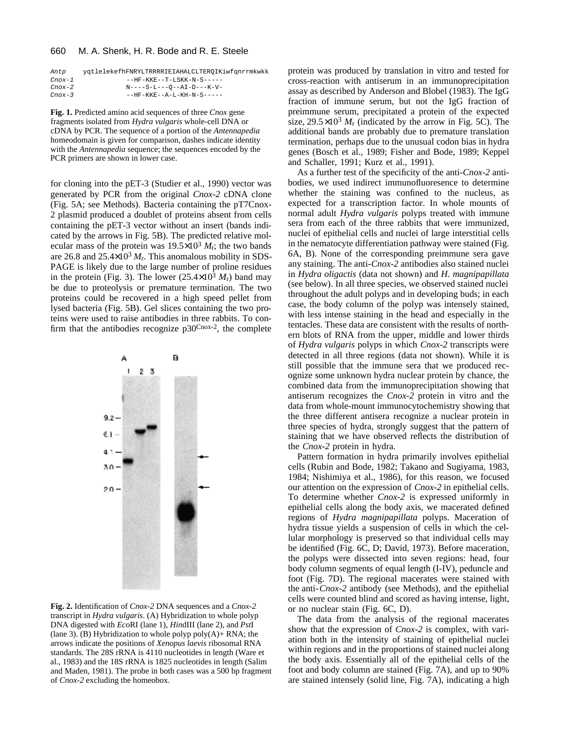#### 660 M. A. Shenk, H. R. Bode and R. E. Steele

| Antp      | yqtlelekefhFNRYLTRRRRIEIAHALCLTEROIKiwfqnrrmkwkk |
|-----------|--------------------------------------------------|
| Cnox-1    | --HF-KKE--T-LSKK-N-S-----                        |
| Cnox-2    | $N---S-L---O--AI-D---K-V-$                       |
| $C$ nox-3 | --HF-KKE--A-L-KH-N-S-----                        |

**Fig. 1.** Predicted amino acid sequences of three *Cnox* gene fragments isolated from *Hydra vulgaris* whole-cell DNA or cDNA by PCR. The sequence of a portion of the *Antennapedia* homeodomain is given for comparison, dashes indicate identity with the *Antennapedia* sequence; the sequences encoded by the PCR primers are shown in lower case.

for cloning into the pET-3 (Studier et al., 1990) vector was generated by PCR from the original *Cnox-2* cDNA clone (Fig. 5A; see Methods). Bacteria containing the pT7Cnox-2 plasmid produced a doublet of proteins absent from cells containing the pET-3 vector without an insert (bands indicated by the arrows in Fig. 5B). The predicted relative molecular mass of the protein was  $19.5 \times 10^3$  *M*<sub>r</sub>; the two bands are 26.8 and 25.4×10<sup>3</sup> *M*r. This anomalous mobility in SDS-PAGE is likely due to the large number of proline residues in the protein (Fig. 3). The lower  $(25.4\times10^3 M_{\rm r})$  band may be due to proteolysis or premature termination. The two proteins could be recovered in a high speed pellet from lysed bacteria (Fig. 5B). Gel slices containing the two proteins were used to raise antibodies in three rabbits. To confirm that the antibodies recognize  $p30^{Cnox-2}$ , the complete



**Fig. 2.** Identification of *Cnox-2* DNA sequences and a *Cnox-2* transcript in *Hydra vulgaris*. (A) Hybridization to whole polyp DNA digested with *Eco*RI (lane 1), *Hin*dIII (lane 2), and *Pst*I (lane 3). (B) Hybridization to whole polyp poly $(A)$  + RNA; the arrows indicate the positions of *Xenopus laevis* ribosomal RNA standards. The 28S rRNA is 4110 nucleotides in length (Ware et al., 1983) and the 18S rRNA is 1825 nucleotides in length (Salim and Maden, 1981). The probe in both cases was a 500 bp fragment of *Cnox-2* excluding the homeobox.

protein was produced by translation in vitro and tested for cross-reaction with antiserum in an immunoprecipitation assay as described by Anderson and Blobel (1983). The IgG fraction of immune serum, but not the IgG fraction of preimmune serum, precipitated a protein of the expected size,  $29.5 \times 10^3$   $M_r$  (indicated by the arrow in Fig. 5C). The additional bands are probably due to premature translation termination, perhaps due to the unusual codon bias in hydra genes (Bosch et al., 1989; Fisher and Bode, 1989; Keppel and Schaller, 1991; Kurz et al., 1991).

As a further test of the specificity of the anti-*Cnox-2* antibodies, we used indirect immunofluoresence to determine whether the staining was confined to the nucleus, as expected for a transcription factor. In whole mounts of normal adult *Hydra vulgaris* polyps treated with immune sera from each of the three rabbits that were immunized, nuclei of epithelial cells and nuclei of large interstitial cells in the nematocyte differentiation pathway were stained (Fig. 6A, B). None of the corresponding preimmune sera gave any staining. The anti-*Cnox-2* antibodies also stained nuclei in *Hydra oligactis* (data not shown) and *H*. *magnipapillata* (see below). In all three species, we observed stained nuclei throughout the adult polyps and in developing buds; in each case, the body column of the polyp was intensely stained, with less intense staining in the head and especially in the tentacles. These data are consistent with the results of northern blots of RNA from the upper, middle and lower thirds of *Hydra vulgaris* polyps in which *Cnox-2* transcripts were detected in all three regions (data not shown). While it is still possible that the immune sera that we produced recognize some unknown hydra nuclear protein by chance, the combined data from the immunoprecipitation showing that antiserum recognizes the *Cnox-2* protein in vitro and the data from whole-mount immunocytochemistry showing that the three different antisera recognize a nuclear protein in three species of hydra, strongly suggest that the pattern of staining that we have observed reflects the distribution of the *Cnox-2* protein in hydra.

Pattern formation in hydra primarily involves epithelial cells (Rubin and Bode, 1982; Takano and Sugiyama, 1983, 1984; Nishimiya et al., 1986), for this reason, we focused our attention on the expression of *Cnox-2* in epithelial cells. To determine whether *Cnox-2* is expressed uniformly in epithelial cells along the body axis, we macerated defined regions of *Hydra magnipapillata* polyps. Maceration of hydra tissue yields a suspension of cells in which the cellular morphology is preserved so that individual cells may be identified (Fig. 6C, D; David, 1973). Before maceration, the polyps were dissected into seven regions: head, four body column segments of equal length (I-IV), peduncle and foot (Fig. 7D). The regional macerates were stained with the anti-*Cnox-2* antibody (see Methods), and the epithelial cells were counted blind and scored as having intense, light, or no nuclear stain (Fig. 6C, D).

The data from the analysis of the regional macerates show that the expression of *Cnox-2* is complex, with variation both in the intensity of staining of epithelial nuclei within regions and in the proportions of stained nuclei along the body axis. Essentially all of the epithelial cells of the foot and body column are stained (Fig. 7A), and up to 90% are stained intensely (solid line, Fig. 7A), indicating a high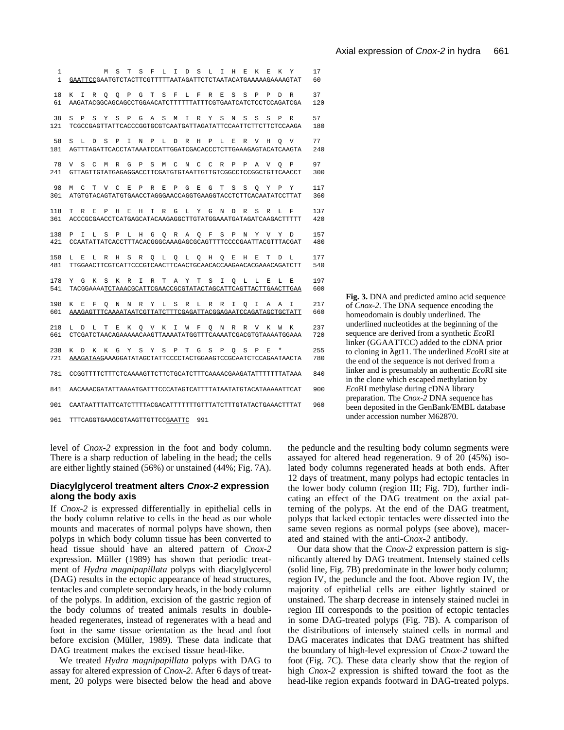| 1<br>$\mathbf{1}$ | L<br>S<br>$\mathbf F$<br>I<br>$\mathbb D$<br>S<br>L<br>I<br>H<br>E.<br>K<br>Y<br>М<br>S<br>Т<br>E.<br>К<br>GAATTCCGAATGTCTACTTCGTTTTTAATAGATTCTCTAATACATGAAAAAGAAAAGTAT                                                      | 17<br>60   |
|-------------------|------------------------------------------------------------------------------------------------------------------------------------------------------------------------------------------------------------------------------|------------|
| 18<br>61          | T<br>S<br>$\mathbf F$<br>S<br>S<br>K<br>I<br>$\circ$<br>P<br>G<br>L<br>F<br>R<br>E<br>P<br>P<br>D<br>$\mathbb R$<br>R<br>O<br>AAGATACGGCAGCAGCCTGGAACATCTTTTTTATTTCGTGAATCATCTCCTCCAGATCGA                                   | 37<br>120  |
| 38<br>121         | S<br>$\mathbb P$<br>S<br>Y<br>S<br>$\mathsf{P}$<br>G<br>A<br>S<br>T.<br>$\mathbb R$<br>Y<br>S<br>N<br>S<br>S<br>S<br>$\mathbb{R}$<br>M<br>P<br>TCGCCGAGTTATTCACCCGGTGCGTCAATGATTAGATATTCCAATTCTTCTTCTCCAAGA                  | 57<br>180  |
| 58<br>181         | S<br>т.<br>D<br>S<br>P<br>T.<br>N<br>P<br>T.<br>D<br>R<br>H<br>P<br>T.<br>E.<br>R<br>$\overline{V}$<br>H<br>V<br>$\Omega$<br>AGTTTAGATTCACCTATAAATCCATTGGATCGACACCCTCTTGAAAGAGTACATCAAGTA                                    | 77<br>240  |
| 78<br>241         | S<br>$\mathcal{C}$<br>$\mathbb P$<br>S<br>C<br>V<br>М<br>$\mathbb R$<br>G<br>М<br>N<br>C<br>C<br>R<br>P<br>P<br>Α<br>V<br>P<br>O<br>GTTAGTTGTATGAGAGGACCTTCGATGTGTAATTGTTGTCGGCCTCCGGCTGTTCAACCT                             | 97<br>300  |
| 98<br>301         | C<br>T.<br>$\mathbf{V}$<br>$\mathcal{C}$<br>F.<br>$\mathsf{P}$<br>$\mathbb{R}$<br>F.<br>$\mathsf{P}$<br>G<br>E.<br>G<br>T<br>S<br>S<br>Y<br>Y<br>М<br>O<br>P<br>ATGTGTACAGTATGTGAACCTAGGGAACCAGGTGAAGGTACCTCTTCACAATATCCTTAT | 117<br>360 |
| 118<br>361        | T.<br>R<br>E.<br>$\mathbf{p}$<br>H<br>E.<br>H<br>T<br>$\mathbb{R}$<br>G<br>L.<br>Y<br>G<br>N<br>D<br>R<br>S<br>R<br>L.<br>F<br>ACCCGCGAACCTCATGAGCATACAAGAGGCTTGTATGGAAATGATAGATCAAGACTTTTT                                  | 137<br>420 |
| 138<br>421        | Y<br>P<br>I<br>T.<br>S<br>$\mathbb P$<br>L<br>H<br>G<br>O<br>$\mathbb{R}$<br>Α<br>O<br>F<br>S<br>P<br>N<br>$\mathbf{V}$<br>Y<br>D<br>CCAATATTATCACCTTTACACGGGCAAAGAGCGCAGTTTTCCCCGAATTACGTTTACGAT                            | 157<br>480 |
| 158<br>481        | E.<br>H<br>T<br>T.<br>L.<br>R<br>Η<br>S<br>R<br>$\circ$<br>L<br>$\circ$<br>L<br>$\circ$<br>H<br>O<br>E<br>F.<br>D<br>T.<br>TTGGAACTTCGTCATTCCCGTCAACTTCAACTGCAACACCAAGAACACGAAACAGATCTT                                      | 177<br>540 |
| 178<br>541        | Y<br>G<br>К<br>S<br>K<br>R<br>T<br>R<br>T<br>A<br>Y<br>т<br>S<br>T.<br>L.<br>L.<br>F.<br>т.<br>F.<br>O<br>TACGGAAAATCTAAACGCATTCGAACCGCGTATACTAGCATTCAGTTACTTGAACTTGAA                                                       | 197<br>600 |
| 198<br>601        | K<br>E<br>F<br>$\circ$<br>N<br>N<br>R<br>Υ<br>L<br>S<br>R<br>L<br>R<br>R<br>I<br>$\circ$<br>I<br>Α<br>Α<br>I<br>AAAGAGTTTCAAAATAATCGTTATCTTTCGAGATTACGGAGAATCCAGATAGCTGCTATT                                                 | 217<br>660 |
| 218<br>661        | K<br>I<br>$\mathbb{R}$<br>V<br>T.<br>D<br>T.<br>т<br>F.<br>К<br>O<br>V<br>W<br>F<br>O<br>N<br>R<br>К<br>W<br>K<br>CTCGATCTAACAGAAAAACAAGTTAAAATATGGTTTCAAAATCGACGTGTAAAATGGAAA                                               | 237<br>720 |
| 238<br>721        | К<br>К<br>G<br>Y<br>S<br>Υ<br>S<br>$\mathbb P$<br>T<br>G<br>S<br>P<br>S<br>P<br>E.<br>$^\star$<br>K<br>D<br>O<br>AAAGATAAGAAAGGATATAGCTATTCCCCTACTGGAAGTCCGCAATCTCCAGAATAACTA                                                | 255<br>780 |
| 781               | CCGGTTTTCTTTCTCAAAAGTTCTTCTGCATCTTTCAAAACGAAGATATTTTTTTATAAA                                                                                                                                                                 | 840        |
| 841<br>901        | AACAAACGATATTAAAATGATTTCCCATAGTCATTTTATAATATGTACATAAAAATTCAT<br>CAATAATTTATTCATCTTTTACGACATTTTTTTGTTTATCTTTGTATACTGAAACTTTAT                                                                                                 | 900<br>960 |
|                   |                                                                                                                                                                                                                              |            |

961 TTTCAGGTGAAGCGTAAGTTGTTCCGAATTC 991

level of *Cnox-2* expression in the foot and body column. There is a sharp reduction of labeling in the head; the cells are either lightly stained (56%) or unstained (44%; Fig. 7A).

#### **Diacylglycerol treatment alters Cnox-2 expression along the body axis**

If *Cnox-2* is expressed differentially in epithelial cells in the body column relative to cells in the head as our whole mounts and macerates of normal polyps have shown, then polyps in which body column tissue has been converted to head tissue should have an altered pattern of *Cnox-2* expression. Müller (1989) has shown that periodic treatment of *Hydra magnipapillata* polyps with diacylglycerol (DAG) results in the ectopic appearance of head structures, tentacles and complete secondary heads, in the body column of the polyps. In addition, excision of the gastric region of the body columns of treated animals results in doubleheaded regenerates, instead of regenerates with a head and foot in the same tissue orientation as the head and foot before excision (Müller, 1989). These data indicate that DAG treatment makes the excised tissue head-like.

We treated *Hydra magnipapillata* polyps with DAG to assay for altered expression of *Cnox-2*. After 6 days of treatment, 20 polyps were bisected below the head and above

**Fig. 3.** DNA and predicted amino acid sequence of *Cnox-2*. The DNA sequence encoding the homeodomain is doubly underlined. The underlined nucleotides at the beginning of the sequence are derived from a synthetic *Eco*RI linker (GGAATTCC) added to the cDNA prior to cloning in gt11. The underlined *Eco*RI site at the end of the sequence is not derived from a linker and is presumably an authentic *Eco*RI site in the clone which escaped methylation by *Eco*RI methylase during cDNA library preparation. The *Cnox-2* DNA sequence has been deposited in the GenBank/EMBL database under accession number M62870.

the peduncle and the resulting body column segments were assayed for altered head regeneration. 9 of 20 (45%) isolated body columns regenerated heads at both ends. After 12 days of treatment, many polyps had ectopic tentacles in the lower body column (region III; Fig. 7D), further indicating an effect of the DAG treatment on the axial patterning of the polyps. At the end of the DAG treatment, polyps that lacked ectopic tentacles were dissected into the same seven regions as normal polyps (see above), macerated and stained with the anti-*Cnox-2* antibody.

Our data show that the *Cnox-2* expression pattern is significantly altered by DAG treatment. Intensely stained cells (solid line, Fig. 7B) predominate in the lower body column; region IV, the peduncle and the foot. Above region IV, the majority of epithelial cells are either lightly stained or unstained. The sharp decrease in intensely stained nuclei in region III corresponds to the position of ectopic tentacles in some DAG-treated polyps (Fig. 7B). A comparison of the distributions of intensely stained cells in normal and DAG macerates indicates that DAG treatment has shifted the boundary of high-level expression of *Cnox-2* toward the foot (Fig. 7C). These data clearly show that the region of high *Cnox-2* expression is shifted toward the foot as the head-like region expands footward in DAG-treated polyps.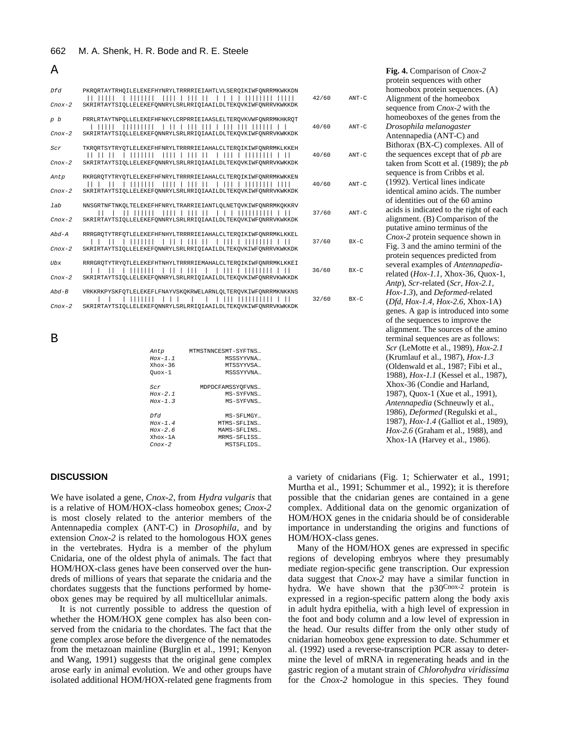|  |  | 662 M. A. Shenk, H. R. Bode and R. E. Steele |  |  |  |  |  |
|--|--|----------------------------------------------|--|--|--|--|--|
|--|--|----------------------------------------------|--|--|--|--|--|

#### A

| Dfd<br>$Cnox-2$        | PKRORTAYTRHOILELEKEFHYNRYLTRRRRIEIAHTLVLSEROIKIWFONRRMKWKKDN<br>.<br>SKRIRTAYTSIOLLELEKEFONNRYLSRLRRIOIAAILDLTEKOVKIWFONRRVKWKKDK                                           | 42/60 | $ANT-C$  |
|------------------------|-----------------------------------------------------------------------------------------------------------------------------------------------------------------------------|-------|----------|
| p b<br>$C$ no $x-2$    | PRRLRTAYTNPOLLELEKEFHFNKYLCRPRRIEIAASLELTEROVKVWFONRRMKHKROT<br>.<br>SKRIRTAYTSIOLLELEKEFQNNRYLSRLRRIQIAAILDLTEKQVKIWFQNRRVKWKKDK                                           | 40/60 | $ANT-C$  |
| Scr<br>$Cnox-2$        | TKRORTSYTRYOTLELEKEFHFNRYLTRRRRIEIAHALCLTEROIKIWFONRRMKLKKEH<br>SKRIRTAYTSIOLLELEKEFQNNRYLSRLRRIQIAAILDLTEKQVKIWFQNRRVKWKKDK                                                | 40/60 | $ANT-C$  |
| Antp<br>$Cnox-2$       | RKRGROTYTRYOTLELEKEFHFNRYLTRRRRIEIAHALCLTEROIKIWFONRRMKWKKEN<br>$\Box$<br>SKRIRTAYTSIOLLELEKEFONNRYLSRLRRIOIAAILDLTEKOVKIWFONRRVKWKKDK                                      | 40/60 | $ANT-C$  |
| 1ab<br>$C$ no $x-2$    | NNSGRTNFTNKOLTELEKEFHFNRYLTRARRIEIANTLOLNETOVKIWFONRRMKOKKRV<br>$\mathbf{L}$<br>SKRIRTAYTSIOLLELEKEFONNRYLSRLRRIOIAAILDLTEKOVKIWFONRRVKWKKDK                                | 37/60 | $ANT-C$  |
| $Abd-A$<br>$Cnox-2$    | RRRGROTYTRFOTLELEKEFHFNHYLTRRRRIEIAHALCLTEROIKIWFONRRMKLKKEL<br>SKRIRTAYTSIOLLELEKEFONNRYLSRLRRIOIAAILDLTEKOVKIWFONRRVKWKKDK                                                | 37/60 | $BX - C$ |
| <b>Ubx</b><br>$Cnox-2$ | RRRGROTYTRYOTLELEKEFHTNHYLTRRRRIEMAHALCLTEROIKIWFONRRMKLKKEI<br>$\frac{1}{2}$<br>$1$ 111 1<br>,,,,,,,,,,,,,<br>SKRIRTAYTSIOLLELEKEFONNRYLSRLRRIOIAAILDLTEKOVKIWFONRRVKWKKDK | 36/60 | $BX - C$ |
| $Abd-B$<br>$Cnox-2$    | VRKKRKPYSKFOTLELEKEFLFNAYVSKOKRWELARNLOLTEROVKIWFONRRMKNKKNS<br>,,,,,,<br>$\perp$<br>SKRIRTAYTSIOLLELEKEFONNRYLSRLRRIOIAAILDLTEKOVKIWFONRRVKWKKDK                           | 32/60 | $BX - C$ |

B

| Antp          | MTMSTNNCESMT-SYFTNS |
|---------------|---------------------|
| $Hox-1.1$     | MSSSYYVNA           |
| $Xh$ ox - 36  | MTSSYYVSA           |
| $0$ uox- $1$  | MSSSYYVNA           |
|               |                     |
| Scr           | MDPDCFAMSSYOFVNS    |
| $Hox-2.1$     | MS-SYFVNS           |
| $Hox-1.3$     | MS-SYFVNS           |
|               |                     |
| Dfd           | MS-SFLMGY           |
| $Hox-1.4$     | MTMS-SFLINS         |
| $Hox-2.6$     | MAMS-SFLINS         |
| $Xh$ ox-1 $A$ | MRMS-SFLISS         |
| $C$ nox-2     | MSTSFLIDS           |
|               |                     |

# **DISCUSSION**

We have isolated a gene, *Cnox-2*, from *Hydra vulgaris* that is a relative of HOM/HOX-class homeobox genes; *Cnox-2* is most closely related to the anterior members of the Antennapedia complex (ANT-C) in *Drosophila*, and by extension *Cnox-2* is related to the homologous HOX genes in the vertebrates. Hydra is a member of the phylum Cnidaria, one of the oldest phyla of animals. The fact that HOM/HOX-class genes have been conserved over the hundreds of millions of years that separate the cnidaria and the chordates suggests that the functions performed by homeobox genes may be required by all multicellular animals.

It is not currently possible to address the question of whether the HOM/HOX gene complex has also been conserved from the cnidaria to the chordates. The fact that the gene complex arose before the divergence of the nematodes from the metazoan mainline (Burglin et al., 1991; Kenyon and Wang, 1991) suggests that the original gene complex arose early in animal evolution. We and other groups have isolated additional HOM/HOX-related gene fragments from

|   | Fig. 4. Comparison of Cnox-2               |
|---|--------------------------------------------|
|   | protein sequences with other               |
|   | homeobox protein sequences. (A)            |
| J | Alignment of the homeobox                  |
|   | sequence from Cnox-2 with the              |
|   | homeoboxes of the genes from the           |
| J | Drosophila melanogaster                    |
|   | Antennapedia (ANT-C) and                   |
|   | Bithorax (BX-C) complexes. All of          |
| J | the sequences except that of <i>pb</i> are |
|   | taken from Scott et al. (1989); the pb     |
|   | sequence is from Cribbs et al.             |
| J | (1992). Vertical lines indicate            |
|   | identical amino acids. The number          |
|   | of identities out of the 60 amino          |
| J | acids is indicated to the right of each    |
|   | alignment. (B) Comparison of the           |
|   | putative amino terminus of the             |
|   | Cnox-2 protein sequence shown in           |
|   | Fig. 3 and the amino termini of the        |
|   | protein sequences predicted from           |
|   | several examples of Antennapedia-          |
|   | related (Hox-1.1, Xhox-36, Quox-1,         |
|   | Antp), Scr-related (Scr, Hox-2.1,          |
|   | Hox-1.3), and Deformed-related             |
|   | $(Dfd, Hox-1.4, Hox-2.6, Xhox-1A)$         |
|   | genes. A gap is introduced into some       |
|   | of the sequences to improve the            |
|   | alignment. The sources of the amino        |
|   | terminal sequences are as follows:         |
|   | Scr (LeMotte et al., 1989), Hox-2.1        |
|   | (Krumlauf et al., 1987), Hox-1.3           |
|   | (Oldenwald et al., 1987; Fibi et al.,      |
|   | 1988), Hox-1.1 (Kessel et al., 1987),      |
|   | Xhox-36 (Condie and Harland,               |
|   | 1987), Quox-1 (Xue et al., 1991),          |
|   | Antennapedia (Schneuwly et al.,            |
|   | 1986), Deformed (Regulski et al.,          |
|   | 1987), Hox-1.4 (Galliot et al., 1989),     |
|   | Hox-2.6 (Graham et al., 1988), and         |
|   | Xhox-1A (Harvey et al., 1986).             |

a variety of cnidarians (Fig. 1; Schierwater et al., 1991; Murtha et al., 1991; Schummer et al., 1992); it is therefore possible that the cnidarian genes are contained in a gene complex. Additional data on the genomic organization of HOM/HOX genes in the cnidaria should be of considerable importance in understanding the origins and functions of HOM/HOX-class genes.

Many of the HOM/HOX genes are expressed in specific regions of developing embryos where they presumably mediate region-specific gene transcription. Our expression data suggest that *Cnox-2* may have a similar function in hydra. We have shown that the p30Cnox-2 protein is expressed in a region-specific pattern along the body axis in adult hydra epithelia, with a high level of expression in the foot and body column and a low level of expression in the head. Our results differ from the only other study of cnidarian homeobox gene expression to date. Schummer et al. (1992) used a reverse-transcription PCR assay to determine the level of mRNA in regenerating heads and in the gastric region of a mutant strain of *Chlorohydra viridissima* for the *Cnox-2* homologue in this species. They found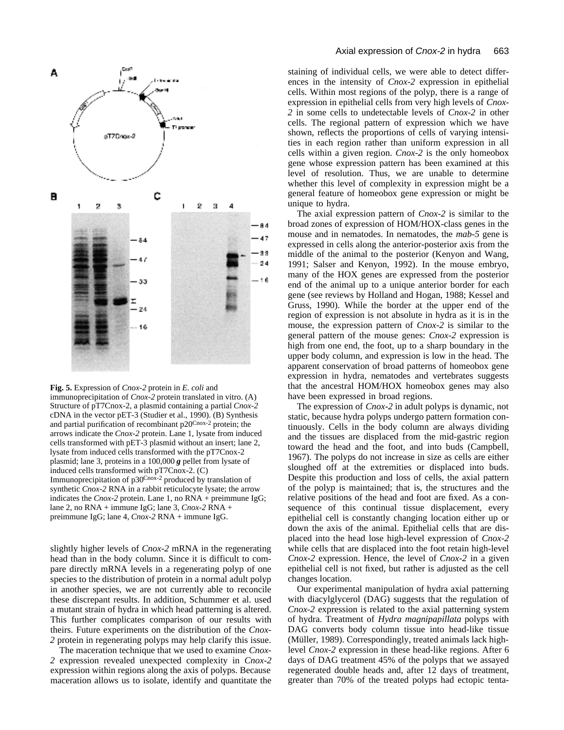



immunoprecipitation of *Cnox-2* protein translated in vitro. (A) Structure of pT7Cnox-2, a plasmid containing a partial *Cnox-2* cDNA in the vector pET-3 (Studier et al., 1990). (B) Synthesis and partial purification of recombinant p20Cnox-2 protein; the arrows indicate the *Cnox-2* protein. Lane 1, lysate from induced cells transformed with pET-3 plasmid without an insert; lane 2, lysate from induced cells transformed with the pT7Cnox-2 plasmid; lane 3, proteins in a 100,000 *g* pellet from lysate of induced cells transformed with pT7Cnox-2. (C) Immunoprecipitation of p30Cnox-2 produced by translation of synthetic *Cnox-2* RNA in a rabbit reticulocyte lysate; the arrow indicates the *Cnox-2* protein. Lane 1, no RNA + preimmune IgG; lane 2, no RNA + immune IgG; lane 3, *Cnox-2* RNA + preimmune IgG; lane 4, *Cnox-2* RNA + immune IgG.

slightly higher levels of *Cnox-2* mRNA in the regenerating head than in the body column. Since it is difficult to compare directly mRNA levels in a regenerating polyp of one species to the distribution of protein in a normal adult polyp in another species, we are not currently able to reconcile these discrepant results. In addition, Schummer et al. used a mutant strain of hydra in which head patterning is altered. This further complicates comparison of our results with theirs. Future experiments on the distribution of the *Cnox-2* protein in regenerating polyps may help clarify this issue.

The maceration technique that we used to examine *Cnox-2* expression revealed unexpected complexity in *Cnox-2* expression within regions along the axis of polyps. Because maceration allows us to isolate, identify and quantitate the staining of individual cells, we were able to detect differences in the intensity of *Cnox-2* expression in epithelial cells. Within most regions of the polyp, there is a range of expression in epithelial cells from very high levels of *Cnox-2* in some cells to undetectable levels of *Cnox-2* in other cells. The regional pattern of expression which we have shown, reflects the proportions of cells of varying intensities in each region rather than uniform expression in all cells within a given region. *Cnox-2* is the only homeobox gene whose expression pattern has been examined at this level of resolution. Thus, we are unable to determine whether this level of complexity in expression might be a general feature of homeobox gene expression or might be unique to hydra.

The axial expression pattern of *Cnox-2* is similar to the broad zones of expression of HOM/HOX-class genes in the mouse and in nematodes. In nematodes, the *mab-5* gene is expressed in cells along the anterior-posterior axis from the middle of the animal to the posterior (Kenyon and Wang, 1991; Salser and Kenyon, 1992). In the mouse embryo, many of the HOX genes are expressed from the posterior end of the animal up to a unique anterior border for each gene (see reviews by Holland and Hogan, 1988; Kessel and Gruss, 1990). While the border at the upper end of the region of expression is not absolute in hydra as it is in the mouse, the expression pattern of *Cnox-2* is similar to the general pattern of the mouse genes: *Cnox-2* expression is high from one end, the foot, up to a sharp boundary in the upper body column, and expression is low in the head. The apparent conservation of broad patterns of homeobox gene expression in hydra, nematodes and vertebrates suggests that the ancestral HOM/HOX homeobox genes may also have been expressed in broad regions.

The expression of *Cnox-2* in adult polyps is dynamic, not static, because hydra polyps undergo pattern formation continuously. Cells in the body column are always dividing and the tissues are displaced from the mid-gastric region toward the head and the foot, and into buds (Campbell, 1967). The polyps do not increase in size as cells are either sloughed off at the extremities or displaced into buds. Despite this production and loss of cells, the axial pattern of the polyp is maintained; that is, the structures and the relative positions of the head and foot are fixed. As a consequence of this continual tissue displacement, every epithelial cell is constantly changing location either up or down the axis of the animal. Epithelial cells that are displaced into the head lose high-level expression of *Cnox-2* while cells that are displaced into the foot retain high-level *Cnox-2* expression. Hence, the level of *Cnox-2* in a given epithelial cell is not fixed, but rather is adjusted as the cell changes location.

Our experimental manipulation of hydra axial patterning with diacylglycerol (DAG) suggests that the regulation of *Cnox-2* expression is related to the axial patterning system of hydra. Treatment of *Hydra magnipapillata* polyps with DAG converts body column tissue into head-like tissue (Müller, 1989). Correspondingly, treated animals lack highlevel *Cnox-2* expression in these head-like regions. After 6 days of DAG treatment 45% of the polyps that we assayed regenerated double heads and, after 12 days of treatment, greater than 70% of the treated polyps had ectopic tenta-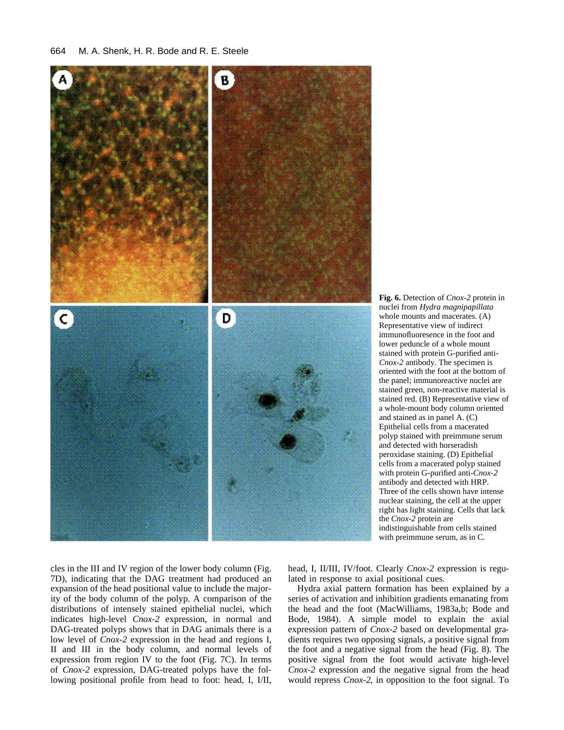

**Fig. 6.** Detection of *Cnox-2* protein in nuclei from *Hydra magnipapillata* whole mounts and macerates. (A) Representative view of indirect immunofluoresence in the foot and lower peduncle of a whole mount stained with protein G-purified anti-*Cnox-2* antibody. The specimen is oriented with the foot at the bottom of the panel; immunoreactive nuclei are stained green, non-reactive material is stained red. (B) Representative view of a whole-mount body column oriented and stained as in panel A. (C) Epithelial cells from a macerated polyp stained with preimmune serum and detected with horseradish peroxidase staining. (D) Epithelial cells from a macerated polyp stained with protein G-purified anti-*Cnox-2* antibody and detected with HRP. Three of the cells shown have intense nuclear staining, the cell at the upper right has light staining. Cells that lack the *Cnox-2* protein are indistinguishable from cells stained with preimmune serum, as in C.

cles in the III and IV region of the lower body column (Fig. 7D), indicating that the DAG treatment had produced an expansion of the head positional value to include the majority of the body column of the polyp. A comparison of the distributions of intensely stained epithelial nuclei, which indicates high-level *Cnox-2* expression, in normal and DAG-treated polyps shows that in DAG animals there is a low level of *Cnox-2* expression in the head and regions I, II and III in the body column, and normal levels of expression from region IV to the foot (Fig. 7C). In terms of *Cnox-2* expression, DAG-treated polyps have the following positional profile from head to foot: head, I, I/II, head, I, II/III, IV/foot. Clearly *Cnox-2* expression is regulated in response to axial positional cues.

Hydra axial pattern formation has been explained by a series of activation and inhibition gradients emanating from the head and the foot (MacWilliams, 1983a,b; Bode and Bode, 1984). A simple model to explain the axial expression pattern of *Cnox-2* based on developmental gradients requires two opposing signals, a positive signal from the foot and a negative signal from the head (Fig. 8). The positive signal from the foot would activate high-level *Cnox-2* expression and the negative signal from the head would repress *Cnox-2*, in opposition to the foot signal. To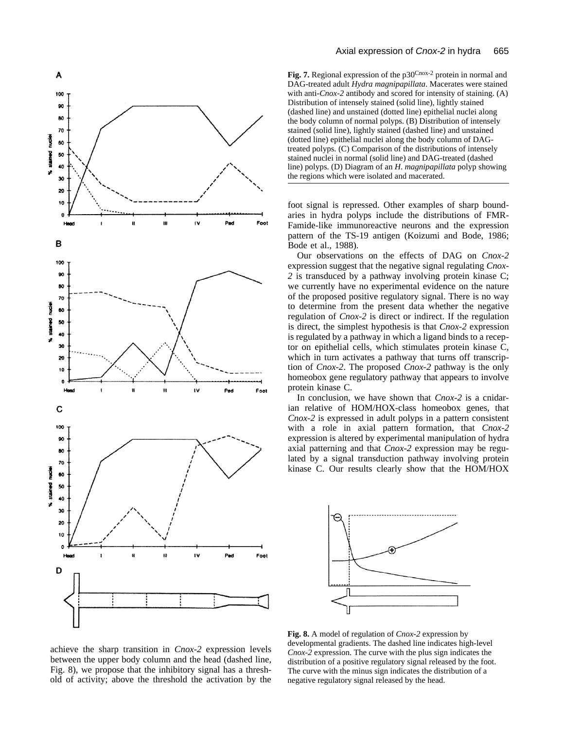

Fig. 7. Regional expression of the p30<sup>Cnox-2</sup> protein in normal and DAG-treated adult *Hydra magnipapillata*. Macerates were stained with anti-*Cnox-2* antibody and scored for intensity of staining. (A) Distribution of intensely stained (solid line), lightly stained (dashed line) and unstained (dotted line) epithelial nuclei along the body column of normal polyps. (B) Distribution of intensely stained (solid line), lightly stained (dashed line) and unstained (dotted line) epithelial nuclei along the body column of DAGtreated polyps. (C) Comparison of the distributions of intensely stained nuclei in normal (solid line) and DAG-treated (dashed line) polyps. (D) Diagram of an *H*. *magnipapillata* polyp showing the regions which were isolated and macerated.

foot signal is repressed. Other examples of sharp boundaries in hydra polyps include the distributions of FMR-Famide-like immunoreactive neurons and the expression pattern of the TS-19 antigen (Koizumi and Bode, 1986; Bode et al., 1988).

Our observations on the effects of DAG on *Cnox-2* expression suggest that the negative signal regulating *Cnox-2* is transduced by a pathway involving protein kinase C; we currently have no experimental evidence on the nature of the proposed positive regulatory signal. There is no way to determine from the present data whether the negative regulation of *Cnox-2* is direct or indirect. If the regulation is direct, the simplest hypothesis is that *Cnox-2* expression is regulated by a pathway in which a ligand binds to a receptor on epithelial cells, which stimulates protein kinase C, which in turn activates a pathway that turns off transcription of *Cnox-2*. The proposed *Cnox-2* pathway is the only homeobox gene regulatory pathway that appears to involve protein kinase C.

In conclusion, we have shown that *Cnox-2* is a cnidarian relative of HOM/HOX-class homeobox genes, that *Cnox-2* is expressed in adult polyps in a pattern consistent with a role in axial pattern formation, that *Cnox-2* expression is altered by experimental manipulation of hydra axial patterning and that *Cnox-2* expression may be regulated by a signal transduction pathway involving protein kinase C. Our results clearly show that the HOM/HOX



achieve the sharp transition in *Cnox-2* expression levels between the upper body column and the head (dashed line, Fig. 8), we propose that the inhibitory signal has a threshold of activity; above the threshold the activation by the

**Fig. 8.** A model of regulation of *Cnox-2* expression by developmental gradients. The dashed line indicates high-level *Cnox-2* expression. The curve with the plus sign indicates the distribution of a positive regulatory signal released by the foot. The curve with the minus sign indicates the distribution of a negative regulatory signal released by the head.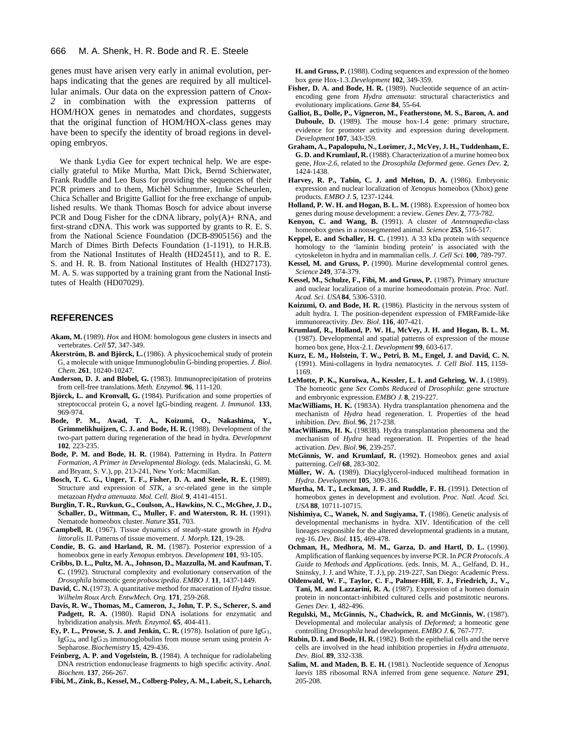genes must have arisen very early in animal evolution, perhaps indicating that the genes are required by all multicellular animals. Our data on the expression pattern of *Cnox-2* in combination with the expression patterns of HOM/HOX genes in nematodes and chordates, suggests that the original function of HOM/HOX-class genes may have been to specify the identity of broad regions in developing embryos.

We thank Lydia Gee for expert technical help. We are especially grateful to Mike Murtha, Matt Dick, Bernd Schierwater, Frank Ruddle and Leo Buss for providing the sequences of their PCR primers and to them, Michèl Schummer, Imke Scheurlen, Chica Schaller and Brigitte Galliot for the free exchange of unpublished results. We thank Thomas Bosch for advice about inverse PCR and Doug Fisher for the cDNA library, poly(A)+ RNA, and first-strand cDNA. This work was supported by grants to R. E. S. from the National Science Foundation (DCB-8905156) and the March of Dimes Birth Defects Foundation (1-1191), to H.R.B. from the National Institutes of Health (HD24511), and to R. E. S. and H. R. B. from National Institutes of Health (HD27173). M. A. S. was supported by a training grant from the National Institutes of Health (HD07029).

#### **REFERENCES**

- **Akam, M.** (1989). *Hox* and HOM: homologous gene clusters in insects and vertebrates. *Cell* **57**, 347-349.
- **Åkerström, B. and Björck, L.**(1986). A physicochemical study of protein G, a molecule with unique Immunoglobulin G-binding properties. *J. Biol. Chem.* **261**, 10240-10247.
- **Anderson, D. J. and Blobel, G.** (1983). Immunoprecipitation of proteins from cell-free translations. *Meth. Enzymol.* **96**, 111-120.
- **Björck, L. and Kronvall, G.** (1984). Purification and some properties of streptococcal protein G, a novel IgG-binding reagent. *J. Immunol.* **133**, 969-974.
- **Bode, P. M., Awad, T. A., Koizumi, O., Nakashima, Y., Grimmelikhuijzen, C. J. and Bode, H. R.** (1988). Development of the two-part pattern during regeneration of the head in hydra. *Development* **102**, 223-235.
- **Bode, P. M. and Bode, H. R.** (1984). Patterning in Hydra. In *Pattern Formation, A Primer in Developmental Biology*. (eds. Malacinski, G. M. and Bryant, S. V.), pp. 213-241, New York: Macmillan.
- **Bosch, T. C. G., Unger, T. F., Fisher, D. A. and Steele, R. E.** (1989). Structure and expression of *STK*, a *src*-related gene in the simple metazoan *Hydra attenuata*. *Mol. Cell. Biol.* **9**, 4141-4151.
- **Burglin, T. R., Ruvkun, G., Coulson, A., Hawkins, N. C., McGhee, J. D., Schaller, D., Wittman, C., Muller, F. and Waterston, R. H.** (1991). Nematode homeobox cluster. *Nature* **351**, 703.
- **Campbell, R.** (1967). Tissue dynamics of steady-state growth in *Hydra littoralis*. II. Patterns of tissue movement. *J. Morph.* **121**, 19-28.
- **Condie, B. G. and Harland, R. M.** (1987). Posterior expression of a homeobox gene in early *Xenopus* embryos. *Development* **101**, 93-105.
- **Cribbs, D. L., Pultz, M. A., Johnson, D., Mazzulla, M. and Kaufman, T. C.** (1992). Structural complexity and evolutionary conservation of the *Drosophila* homeotic gene *proboscipedia*. *EMBO J.* **11**, 1437-1449.
- **David, C. N.**(1973). A quantitative method for maceration of *Hydra* tissue. *Wilhelm Roux Arch. EntwMech. Org.* **171**, 259-268.
- **Davis, R. W., Thomas, M., Cameron, J., John, T. P. S., Scherer, S. and** Padgett, R. A. (1980). Rapid DNA isolations for enzymatic and hybridization analysis. *Meth. Enzymol.* **65**, 404-411.
- **Ey, P. L., Prowse, S. J. and Jenkin, C. R.** (1978). Isolation of pure  $\lg G_1$ ,  $IgG_{2a}$ , and  $IgG_{2b}$  immunoglobulins from mouse serum using protein A-Sepharose. *Biochemistry* **15**, 429-436.
- **Feinberg, A. P. and Vogelstein, B.** (1984). A technique for radiolabeling DNA restriction endonuclease fragments to high specific activity. *Anal. Biochem.* **137**, 266-267.

**Fibi, M., Zink, B., Kessel, M., Colberg-Poley, A. M., Labeit, S., Leharch,**

**H. and Gruss, P.** (1988). Coding sequences and expression of the homeo box gene Hox-1.3. *Development* **102**, 349-359.

- **Fisher, D. A. and Bode, H. R.** (1989). Nucleotide sequence of an actinencoding gene from *Hydra attenuata*: structural characteristics and evolutionary implications. *Gene* **84**, 55-64.
- **Galliot, B., Dolle, P., Vigneron, M., Featherstone, M. S., Baron, A. and Duboule, D.** (1989). The mouse hox-1.4 gene: primary structure, evidence for promoter activity and expression during development. *Development* **107**, 343-359.
- **Graham, A., Papalopulu, N., Lorimer, J., McVey, J. H., Tuddenham, E. G. D. and Krumlauf, R.** (1988). Characterization of a murine homeo box gene, *Hox-2.6*, related to the *Drosophila Deformed* gene. *Genes Dev.* **2**, 1424-1438.
- **Harvey, R. P., Tabin, C. J. and Melton, D. A.** (1986). Embryonic expression and nuclear localization of *Xenopus* homeobox (Xhox) gene products. *EMBO J.* **5**, 1237-1244.
- **Holland, P. W. H. and Hogan, B. L. M.** (1988). Expression of homeo box genes during mouse development: a review. *Genes Dev.* **2**, 773-782.
- **Kenyon, C. and Wang, B.** (1991). A cluster of *Antennapedia*-class homeobox genes in a nonsegmented animal. *Science* **253**, 516-517.
- **Keppel, E. and Schaller, H. C.** (1991). A 33 kDa protein with sequence homology to the 'laminin binding protein' is associated with the cytoskeleton in hydra and in mammalian cells. *J. Cell Sci.* **100**, 789-797.
- **Kessel, M. and Gruss, P.** (1990). Murine developmental control genes. *Science* **249**, 374-379.
- **Kessel, M., Schulze, F., Fibi, M. and Gruss, P.** (1987). Primary structure and nuclear localization of a murine homeodomain protein. *Proc. Natl. Acad. Sci. USA***84**, 5306-5310.
- **Koizumi, O. and Bode, H. R.** (1986). Plasticity in the nervous system of adult hydra. I. The position-dependent expression of FMRFamide-like immunoreactivity. *Dev. Biol.* **116**, 407-421.
- **Krumlauf, R., Holland, P. W. H., McVey, J. H. and Hogan, B. L. M.** (1987). Developmental and spatial patterns of expression of the mouse homeo box gene, Hox-2.1. *Development* **99**, 603-617.
- **Kurz, E. M., Holstein, T. W., Petri, B. M., Engel, J. and David, C. N.** (1991). Mini-collagens in hydra nematocytes. *J. Cell Biol.* **115**, 1159- 1169.
- **LeMotte, P. K., Kuroiwa, A., Kessler, L. I. and Gehring, W. J.** (1989). The homeotic gene *Sex Combs Reduced* of *Drosophila*: gene structure and embryonic expression. *EMBO J.* **8**, 219-227.
- **MacWilliams, H. K.** (1983A). Hydra transplantation phenomena and the mechanism of *Hydra* head regeneration. I. Properties of the head inhibition. *Dev. Biol.* **96**, 217-238.
- **MacWilliams, H. K.** (1983B). Hydra transplantation phenomena and the mechanism of *Hydra* head regeneration. II. Properties of the head activation. *Dev. Biol.* **96**, 239-257.
- **McGinnis, W. and Krumlauf, R.** (1992). Homeobox genes and axial patterning. *Cell* **68**, 283-302.
- **Müller, W. A.** (1989). Diacylglycerol-induced multihead formation in *Hydra*. *Development* **105**, 309-316.
- **Murtha, M. T., Leckman, J. F. and Ruddle, F. H.** (1991). Detection of homeobox genes in development and evolution. *Proc. Natl. Acad. Sci. USA* **88**, 10711-10715.
- **Nishimiya, C., Wanek, N. and Sugiyama, T.** (1986). Genetic analysis of developmental mechanisms in hydra. XIV. Identification of the cell lineages responsible for the altered developmental gradients in a mutant, reg-16. *Dev. Biol.* **115**, 469-478.
- **Ochman, H., Medhora, M. M., Garza, D. and Hartl, D. L.** (1990). Amplification of flanking sequences by inverse PCR. In *PCR Protocols. A Guide to Methods and Applications*. (eds. Innis, M. A., Gelfand, D. H., Sninsky, J. J. and White, T. J.), pp. 219-227, San Diego: Academic Press.
- **Oldenwald, W. F., Taylor, C. F., Palmer-Hill, F. J., Friedrich, J., V., Tani, M. and Lazzarini, R. A.** (1987). Expression of a homeo domain protein in noncontact-inhibited cultured cells and postmitotic neurons. *Genes Dev.* **1**, 482-496.
- **Regulski, M., McGinnis, N., Chadwick, R. and McGinnis, W.** (1987). Developmental and molecular analysis of *Deformed*; a homeotic gene controlling *Drosophila* head development. *EMBO J.* **6**, 767-777.
- **Rubin, D. I. and Bode, H. R.** (1982). Both the epithelial cells and the nerve cells are involved in the head inhibition properties in *Hydra attenuata*. *Dev. Biol.* **89**, 332-338.
- **Salim, M. and Maden, B. E. H.** (1981). Nucleotide sequence of *Xenopus laevis* 18S ribosomal RNA inferred from gene sequence. *Nature* **291**, 205-208.